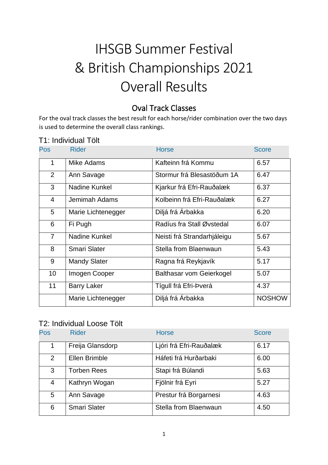# IHSGB Summer Festival & British Championships 2021 Overall Results

### Oval Track Classes

For the oval track classes the best result for each horse/rider combination over the two days is used to determine the overall class rankings.

### T1: Individual Tölt

| <b>Pos</b>     | <b>Rider</b>         | <b>Horse</b>                | <b>Score</b>  |
|----------------|----------------------|-----------------------------|---------------|
| 1              | Mike Adams           | Kafteinn frá Kommu          | 6.57          |
| 2              | Ann Savage           | Stormur frá Blesastöðum 1A  | 6.47          |
| 3              | Nadine Kunkel        | Kjarkur frá Efri-Rauðalæk   | 6.37          |
| 4              | Jemimah Adams        | Kolbeinn frá Efri-Rauðalæk  | 6.27          |
| 5              | Marie Lichtenegger   | Diljá frá Árbakka           | 6.20          |
| 6              | Fi Pugh              | Radíus fra Stall Øvstedal   | 6.07          |
| $\overline{7}$ | <b>Nadine Kunkel</b> | Neisti frá Strandarhjáleigu | 5.67          |
| 8              | <b>Smari Slater</b>  | Stella from Blaenwaun       | 5.43          |
| 9              | <b>Mandy Slater</b>  | Ragna frá Reykjavík         | 5.17          |
| 10             | Imogen Cooper        | Balthasar vom Geierkogel    | 5.07          |
| 11             | <b>Barry Laker</b>   | Tígull frá Efri-Þverá       | 4.37          |
|                | Marie Lichtenegger   | Diljá frá Árbakka           | <b>NOSHOW</b> |

### T2: Individual Loose Tölt

| Pos | <b>Rider</b>        | <b>Horse</b>            | <b>Score</b> |
|-----|---------------------|-------------------------|--------------|
| 1.  | Freija Glansdorp    | Ljóri frá Efri-Rauðalæk | 6.17         |
| 2   | Ellen Brimble       | Háfeti frá Hurðarbaki   | 6.00         |
| 3   | <b>Torben Rees</b>  | Stapi frá Búlandi       | 5.63         |
| 4   | Kathryn Wogan       | Fjölnir frá Eyri        | 5.27         |
| 5   | Ann Savage          | Prestur frá Borgarnesi  | 4.63         |
| 6   | <b>Smari Slater</b> | Stella from Blaenwaun   | 4.50         |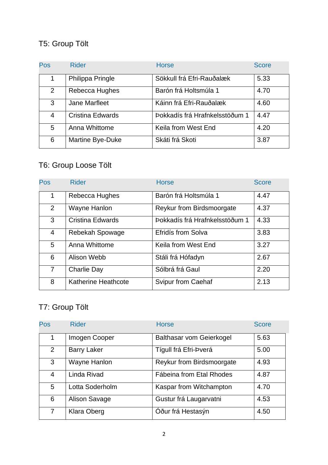# T5: Group Tölt

| Pos | <b>Rider</b>            | <b>Horse</b>                   | <b>Score</b> |
|-----|-------------------------|--------------------------------|--------------|
| 1.  | Philippa Pringle        | Sökkull frá Efri-Rauðalæk      | 5.33         |
| 2   | Rebecca Hughes          | Barón frá Holtsmúla 1          | 4.70         |
| 3   | Jane Marfleet           | Káinn frá Efri-Rauðalæk        | 4.60         |
| 4   | <b>Cristina Edwards</b> | Þokkadís frá Hrafnkelsstöðum 1 | 4.47         |
| 5   | Anna Whittome           | Keila from West End            | 4.20         |
| 6   | Martine Bye-Duke        | Skáti frá Skoti                | 3.87         |

# T6: Group Loose Tölt

| Pos            | <b>Rider</b>               | <b>Horse</b>                     | <b>Score</b> |
|----------------|----------------------------|----------------------------------|--------------|
| 1              | Rebecca Hughes             | Barón frá Holtsmúla 1            | 4.47         |
| 2              | Wayne Hanlon               | <b>Reykur from Birdsmoorgate</b> | 4.37         |
| 3              | <b>Cristina Edwards</b>    | Þokkadís frá Hrafnkelsstöðum 1   | 4.33         |
| 4              | Rebekah Spowage            | Efridís from Solva               | 3.83         |
| 5              | Anna Whittome              | Keila from West End              | 3.27         |
| 6              | Alison Webb                | Stáli frá Hófadyn                | 2.67         |
| $\overline{7}$ | Charlie Day                | Sólbrá frá Gaul                  | 2.20         |
| 8              | <b>Katherine Heathcote</b> | <b>Svipur from Caehaf</b>        | 2.13         |

# T7: Group Tölt

| Pos            | <b>Rider</b>       | <b>Horse</b>                     | <b>Score</b> |
|----------------|--------------------|----------------------------------|--------------|
| 1              | Imogen Cooper      | Balthasar vom Geierkogel         | 5.63         |
| $\overline{2}$ | <b>Barry Laker</b> | Tígull frá Efri-Þverá            | 5.00         |
| 3              | Wayne Hanlon       | <b>Reykur from Birdsmoorgate</b> | 4.93         |
| $\overline{4}$ | Linda Rivad        | Fábeina from Etal Rhodes         | 4.87         |
| 5              | Lotta Soderholm    | Kaspar from Witchampton          | 4.70         |
| 6              | Alison Savage      | Gustur frá Laugarvatni           | 4.53         |
| 7              | <b>Klara Oberg</b> | Óður frá Hestasýn                | 4.50         |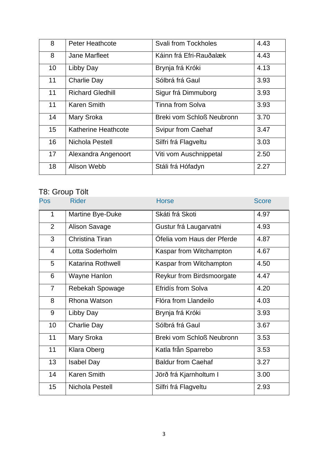| 8  | <b>Peter Heathcote</b>     | <b>Svali from Tockholes</b> | 4.43 |
|----|----------------------------|-----------------------------|------|
| 8  | <b>Jane Marfleet</b>       | Káinn frá Efri-Rauðalæk     | 4.43 |
| 10 | Libby Day                  | Brynja frá Króki            | 4.13 |
| 11 | Charlie Day                | Sólbrá frá Gaul             | 3.93 |
| 11 | <b>Richard Gledhill</b>    | Sigur frá Dimmuborg         | 3.93 |
| 11 | <b>Karen Smith</b>         | Tinna from Solva            | 3.93 |
| 14 | <b>Mary Sroka</b>          | Breki vom Schloß Neubronn   | 3.70 |
| 15 | <b>Katherine Heathcote</b> | <b>Svipur from Caehaf</b>   | 3.47 |
| 16 | Nichola Pestell            | Silfri frá Flagveltu        | 3.03 |
| 17 | Alexandra Angenoort        | Viti vom Auschnippetal      | 2.50 |
| 18 | Alison Webb                | Stáli frá Hófadyn           | 2.27 |

### T8: Group Tölt

| <b>Pos</b>     | <b>Rider</b>             | <b>Horse</b>               | <b>Score</b> |
|----------------|--------------------------|----------------------------|--------------|
| $\mathbf{1}$   | Martine Bye-Duke         | Skáti frá Skoti            | 4.97         |
| 2              | Alison Savage            | Gustur frá Laugarvatni     | 4.93         |
| 3              | Christina Tiran          | Ófelia vom Haus der Pferde | 4.87         |
| $\overline{4}$ | Lotta Soderholm          | Kaspar from Witchampton    | 4.67         |
| 5              | <b>Katarina Rothwell</b> | Kaspar from Witchampton    | 4.50         |
| 6              | Wayne Hanlon             | Reykur from Birdsmoorgate  | 4.47         |
| $\overline{7}$ | Rebekah Spowage          | Efridís from Solva         | 4.20         |
| 8              | Rhona Watson             | Flóra from Llandeilo       | 4.03         |
| 9              | Libby Day                | Brynja frá Króki           | 3.93         |
| 10             | <b>Charlie Day</b>       | Sólbrá frá Gaul            | 3.67         |
| 11             | Mary Sroka               | Breki vom Schloß Neubronn  | 3.53         |
| 11             | Klara Oberg              | Katla från Sparrebo        | 3.53         |
| 13             | <b>Isabel Day</b>        | <b>Baldur from Caehaf</b>  | 3.27         |
| 14             | <b>Karen Smith</b>       | Jörð frá Kjarnholtum I     | 3.00         |
| 15             | Nichola Pestell          | Silfri frá Flagveltu       | 2.93         |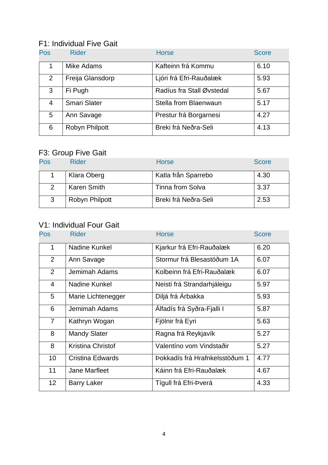### F1: Individual Five Gait

| <b>Pos</b>     | <b>Rider</b>        | <b>Horse</b>              | <b>Score</b> |
|----------------|---------------------|---------------------------|--------------|
|                | Mike Adams          | Kafteinn frá Kommu        | 6.10         |
| $\overline{2}$ | Freija Glansdorp    | Ljóri frá Efri-Rauðalæk   | 5.93         |
| 3              | Fi Pugh             | Radíus fra Stall Øvstedal | 5.67         |
| 4              | <b>Smari Slater</b> | Stella from Blaenwaun     | 5.17         |
| 5              | Ann Savage          | Prestur frá Borgarnesi    | 4.27         |
| 6              | Robyn Philpott      | Breki frá Neðra-Seli      | 4.13         |

### F3: Group Five Gait

| Pos           | <b>Rider</b>          | <b>Horse</b>            | <b>Score</b> |
|---------------|-----------------------|-------------------------|--------------|
|               | Klara Oberg           | Katla från Sparrebo     | 4.30         |
| $\mathcal{P}$ | <b>Karen Smith</b>    | <b>Tinna from Solva</b> | 3.37         |
| 3             | <b>Robyn Philpott</b> | Breki frá Neðra-Seli    | 2.53         |

### V1: Individual Four Gait

| <b>Pos</b>     | <b>Rider</b>         | <b>Horse</b>                   | <b>Score</b> |
|----------------|----------------------|--------------------------------|--------------|
| 1              | Nadine Kunkel        | Kjarkur frá Efri-Rauðalæk      | 6.20         |
| 2              | Ann Savage           | Stormur frá Blesastöðum 1A     | 6.07         |
| 2              | Jemimah Adams        | Kolbeinn frá Efri-Rauðalæk     | 6.07         |
| $\overline{4}$ | Nadine Kunkel        | Neisti frá Strandarhjáleigu    | 5.97         |
| 5              | Marie Lichtenegger   | Diljá frá Árbakka              | 5.93         |
| 6              | Jemimah Adams        | Álfadís frá Syðra-Fjalli I     | 5.87         |
| $\overline{7}$ | Kathryn Wogan        | Fjölnir frá Eyri               | 5.63         |
| 8              | <b>Mandy Slater</b>  | Ragna frá Reykjavík            | 5.27         |
| 8              | Kristina Christof    | Valentíno vom Vindstaðir       | 5.27         |
| 10             | Cristina Edwards     | Þokkadís frá Hrafnkelsstöðum 1 | 4.77         |
| 11             | <b>Jane Marfleet</b> | Káinn frá Efri-Rauðalæk        | 4.67         |
| 12             | <b>Barry Laker</b>   | Tígull frá Efri-Þverá          | 4.33         |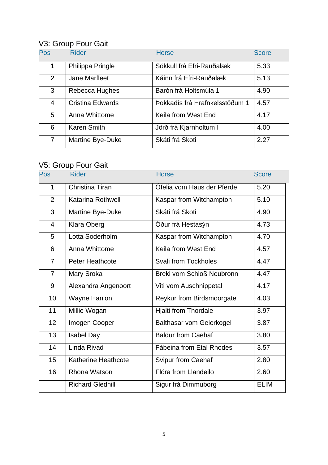# V3: Group Four Gait

| <b>Pos</b>     | <b>Rider</b>            | <b>Horse</b>                   | <b>Score</b> |
|----------------|-------------------------|--------------------------------|--------------|
| 1              | Philippa Pringle        | Sökkull frá Efri-Rauðalæk      | 5.33         |
| 2              | Jane Marfleet           | Káinn frá Efri-Rauðalæk        | 5.13         |
| 3              | Rebecca Hughes          | Barón frá Holtsmúla 1          | 4.90         |
| $\overline{4}$ | <b>Cristina Edwards</b> | Þokkadís frá Hrafnkelsstöðum 1 | 4.57         |
| 5              | Anna Whittome           | Keila from West End            | 4.17         |
| 6              | <b>Karen Smith</b>      | Jörð frá Kjarnholtum I         | 4.00         |
| 7              | Martine Bye-Duke        | Skáti frá Skoti                | 2.27         |

## V5: Group Four Gait

| Pos            | <b>Rider</b>             | <b>Horse</b>                     | <b>Score</b> |
|----------------|--------------------------|----------------------------------|--------------|
| 1              | Christina Tiran          | Ófelia vom Haus der Pferde       | 5.20         |
| $\overline{2}$ | <b>Katarina Rothwell</b> | Kaspar from Witchampton          | 5.10         |
| 3              | Martine Bye-Duke         | Skáti frá Skoti                  | 4.90         |
| $\overline{4}$ | <b>Klara Oberg</b>       | Óður frá Hestasýn                | 4.73         |
| 5              | Lotta Soderholm          | Kaspar from Witchampton          | 4.70         |
| 6              | Anna Whittome            | Keila from West End              | 4.57         |
| $\overline{7}$ | <b>Peter Heathcote</b>   | <b>Svali from Tockholes</b>      | 4.47         |
| $\overline{7}$ | Mary Sroka               | <b>Breki vom Schloß Neubronn</b> | 4.47         |
| 9              | Alexandra Angenoort      | Viti vom Auschnippetal           | 4.17         |
| 10             | Wayne Hanlon             | Reykur from Birdsmoorgate        | 4.03         |
| 11             | Millie Wogan             | <b>Hjalti from Thordale</b>      | 3.97         |
| 12             | Imogen Cooper            | <b>Balthasar vom Geierkogel</b>  | 3.87         |
| 13             | <b>Isabel Day</b>        | <b>Baldur from Caehaf</b>        | 3.80         |
| 14             | Linda Rivad              | Fábeina from Etal Rhodes         | 3.57         |
| 15             | Katherine Heathcote      | Svipur from Caehaf               | 2.80         |
| 16             | Rhona Watson             | Flóra from Llandeilo             | 2.60         |
|                | <b>Richard Gledhill</b>  | Sigur frá Dimmuborg              | <b>ELIM</b>  |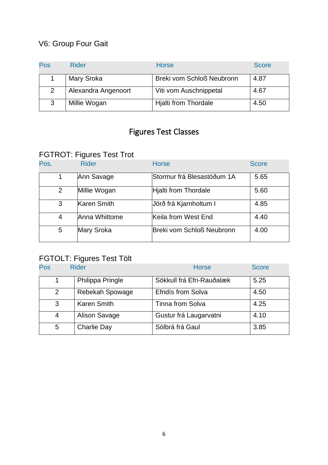## V6: Group Four Gait

| Pos | Rider               | <b>Horse</b>                     | <b>Score</b> |
|-----|---------------------|----------------------------------|--------------|
|     | Mary Sroka          | <b>Breki vom Schloß Neubronn</b> | 4.87         |
| 2   | Alexandra Angenoort | Viti vom Auschnippetal           | 4.67         |
| 3   | Millie Wogan        | <b>Hjalti from Thordale</b>      | 4.50         |

# Figures Test Classes

## FGTROT: Figures Test Trot

| Pos.           | <b>Rider</b>      | <b>Horse</b>               | <b>Score</b> |
|----------------|-------------------|----------------------------|--------------|
|                | Ann Savage        | Stormur frá Blesastöðum 1A | 5.65         |
| $\overline{2}$ | Millie Wogan      | Hjalti from Thordale       | 5.60         |
| 3              | Karen Smith       | Jörð frá Kjarnholtum I     | 4.85         |
| 4              | Anna Whittome     | Keila from West End        | 4.40         |
| 5              | <b>Mary Sroka</b> | Breki vom Schloß Neubronn  | 4.00         |

### FGTOLT: Figures Test Tölt

| Pos | <b>Rider</b>           | <b>Horse</b>              | <b>Score</b> |
|-----|------------------------|---------------------------|--------------|
|     | Philippa Pringle       | Sökkull frá Efri-Rauðalæk | 5.25         |
| 2   | <b>Rebekah Spowage</b> | Efridís from Solva        | 4.50         |
| 3   | <b>Karen Smith</b>     | <b>Tinna from Solva</b>   | 4.25         |
| 4   | <b>Alison Savage</b>   | Gustur frá Laugarvatni    | 4.10         |
| 5   | <b>Charlie Day</b>     | Sólbrá frá Gaul           | 3.85         |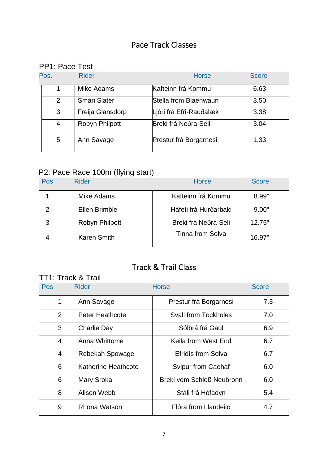# Pace Track Classes

# PP1: Pace Test

| Pos.           | <b>Rider</b>          | <b>Horse</b>            | <b>Score</b> |
|----------------|-----------------------|-------------------------|--------------|
|                | Mike Adams            | Kafteinn frá Kommu      | 6.63         |
| $\overline{2}$ | <b>Smari Slater</b>   | Stella from Blaenwaun   | 3.50         |
| 3              | Freija Glansdorp      | Ljóri frá Efri-Rauðalæk | 3.38         |
| 4              | <b>Robyn Philpott</b> | Breki frá Neðra-Seli    | 3.04         |
| 5              | Ann Savage            | Prestur frá Borgarnesi  | 1.33         |

### P2: Pace Race 100m (flying start)

| Pos | <b>Rider</b>      | <b>Horse</b>            | <b>Score</b> |
|-----|-------------------|-------------------------|--------------|
|     | <b>Mike Adams</b> | Kafteinn frá Kommu      | 8.99"        |
|     | Ellen Brimble     | Háfeti frá Hurðarbaki   | 9.00"        |
| 3   | Robyn Philpott    | Breki frá Neðra-Seli    | 12.75"       |
|     | Karen Smith       | <b>Tinna from Solva</b> | 16.97"       |

# Track & Trail Class

### TT1: Track & Trail

| <b>Pos</b>     | <b>Rider</b>               | <b>Horse</b>                     | <b>Score</b> |
|----------------|----------------------------|----------------------------------|--------------|
| $\mathbf{1}$   | Ann Savage                 | Prestur frá Borgarnesi           | 7.3          |
| $\overline{2}$ | <b>Peter Heathcote</b>     | <b>Svali from Tockholes</b>      | 7.0          |
| 3              | <b>Charlie Day</b>         | Sólbrá frá Gaul                  | 6.9          |
| $\overline{4}$ | Anna Whittome              | Keila from West End              | 6.7          |
| $\overline{4}$ | Rebekah Spowage            | Efridís from Solva               | 6.7          |
| 6              | <b>Katherine Heathcote</b> | <b>Svipur from Caehaf</b>        | 6.0          |
| 6              | Mary Sroka                 | <b>Breki vom Schloß Neubronn</b> | 6.0          |
| 8              | Alison Webb                | Stáli frá Hófadyn                | 5.4          |
| 9              | <b>Rhona Watson</b>        | Flóra from Llandeilo             | 4.7          |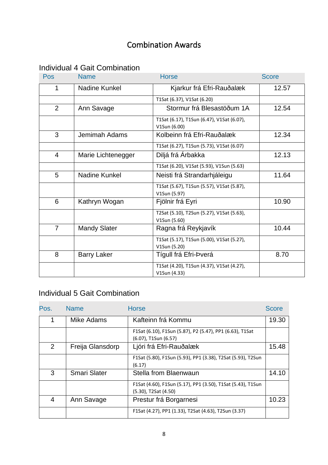# Combination Awards

### Individual 4 Gait Combination

| Pos            | <b>Name</b>          | <b>Horse</b>                                              | <b>Score</b> |
|----------------|----------------------|-----------------------------------------------------------|--------------|
| 1              | Nadine Kunkel        | Kjarkur frá Efri-Rauðalæk                                 | 12.57        |
|                |                      | T1Sat (6.37), V1Sat (6.20)                                |              |
| $\overline{2}$ | Ann Savage           | Stormur frá Blesastöðum 1A                                | 12.54        |
|                |                      | T1Sat (6.17), T1Sun (6.47), V1Sat (6.07),<br>V1Sun (6.00) |              |
| 3              | <b>Jemimah Adams</b> | Kolbeinn frá Efri-Rauðalæk                                | 12.34        |
|                |                      | T1Sat (6.27), T1Sun (5.73), V1Sat (6.07)                  |              |
| 4              | Marie Lichtenegger   | Diljá frá Árbakka                                         | 12.13        |
|                |                      | T1Sat (6.20), V1Sat (5.93), V1Sun (5.63)                  |              |
| 5              | Nadine Kunkel        | Neisti frá Strandarhjáleigu                               | 11.64        |
|                |                      | T1Sat (5.67), T1Sun (5.57), V1Sat (5.87),<br>V1Sun (5.97) |              |
| 6              | Kathryn Wogan        | Fjölnir frá Eyri                                          | 10.90        |
|                |                      | T2Sat (5.10), T2Sun (5.27), V1Sat (5.63),<br>V1Sun (5.60) |              |
| $\overline{7}$ | <b>Mandy Slater</b>  | Ragna frá Reykjavík                                       | 10.44        |
|                |                      | T1Sat (5.17), T1Sun (5.00), V1Sat (5.27),<br>V1Sun (5.20) |              |
| 8              | <b>Barry Laker</b>   | Tígull frá Efri-Þverá                                     | 8.70         |
|                |                      | T1Sat (4.20), T1Sun (4.37), V1Sat (4.27),<br>V1Sun (4.33) |              |

### Individual 5 Gait Combination

| Pos. | <b>Name</b>         | <b>Horse</b>                                                                        | <b>Score</b> |
|------|---------------------|-------------------------------------------------------------------------------------|--------------|
|      | Mike Adams          | Kafteinn frá Kommu                                                                  | 19.30        |
|      |                     | F1Sat (6.10), F1Sun (5.87), P2 (5.47), PP1 (6.63), T1Sat<br>(6.07), T1Sun (6.57)    |              |
| 2    | Freija Glansdorp    | Ljóri frá Efri-Rauðalæk                                                             | 15.48        |
|      |                     | F1Sat (5.80), F1Sun (5.93), PP1 (3.38), T2Sat (5.93), T2Sun<br>(6.17)               |              |
| 3    | <b>Smari Slater</b> | Stella from Blaenwaun                                                               | 14.10        |
|      |                     | F1Sat (4.60), F1Sun (5.17), PP1 (3.50), T1Sat (5.43), T1Sun<br>(5.30), T2Sat (4.50) |              |
| 4    | Ann Savage          | Prestur frá Borgarnesi                                                              | 10.23        |
|      |                     | F1Sat (4.27), PP1 (1.33), T2Sat (4.63), T2Sun (3.37)                                |              |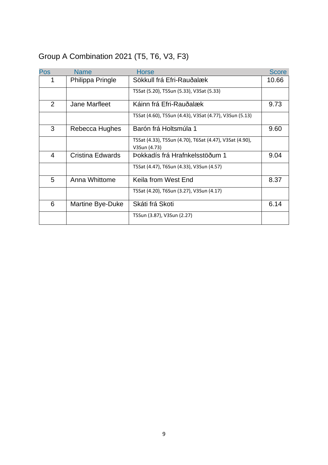# Group A Combination 2021 (T5, T6, V3, F3)

| <b>Pos</b> | <b>Name</b>      | <b>Horse</b>                                                            | <b>Score</b> |
|------------|------------------|-------------------------------------------------------------------------|--------------|
| 1          | Philippa Pringle | Sökkull frá Efri-Rauðalæk                                               | 10.66        |
|            |                  | T5Sat (5.20), T5Sun (5.33), V3Sat (5.33)                                |              |
| 2          | Jane Marfleet    | Káinn frá Efri-Rauðalæk                                                 | 9.73         |
|            |                  | T5Sat (4.60), T5Sun (4.43), V3Sat (4.77), V3Sun (5.13)                  |              |
| 3          | Rebecca Hughes   | Barón frá Holtsmúla 1                                                   | 9.60         |
|            |                  | T5Sat (4.33), T5Sun (4.70), T6Sat (4.47), V3Sat (4.90),<br>V3Sun (4.73) |              |
| 4          | Cristina Edwards | Þokkadís frá Hrafnkelsstöðum 1                                          | 9.04         |
|            |                  |                                                                         |              |
|            |                  | T5Sat (4.47), T6Sun (4.33), V3Sun (4.57)                                |              |
| 5          | Anna Whittome    | Keila from West End                                                     | 8.37         |
|            |                  | T5Sat (4.20), T6Sun (3.27), V3Sun (4.17)                                |              |
| 6          | Martine Bye-Duke | Skáti frá Skoti                                                         | 6.14         |
|            |                  | T5Sun (3.87), V3Sun (2.27)                                              |              |